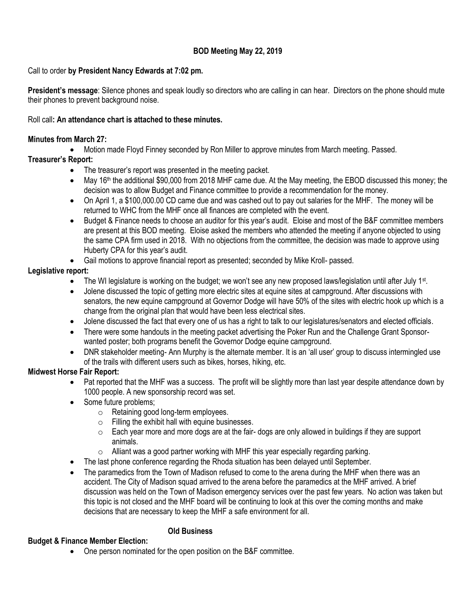# **BOD Meeting May 22, 2019**

#### Call to order **by President Nancy Edwards at 7:02 pm.**

**President's message**: Silence phones and speak loudly so directors who are calling in can hear. Directors on the phone should mute their phones to prevent background noise.

#### Roll call**: An attendance chart is attached to these minutes.**

#### **Minutes from March 27:**

Motion made Floyd Finney seconded by Ron Miller to approve minutes from March meeting. Passed.

### **Treasurer's Report:**

- The treasurer's report was presented in the meeting packet.
- $\bullet$  May 16<sup>th</sup> the additional \$90,000 from 2018 MHF came due. At the May meeting, the EBOD discussed this money; the decision was to allow Budget and Finance committee to provide a recommendation for the money.
- On April 1, a \$100,000.00 CD came due and was cashed out to pay out salaries for the MHF. The money will be returned to WHC from the MHF once all finances are completed with the event.
- Budget & Finance needs to choose an auditor for this year's audit. Eloise and most of the B&F committee members are present at this BOD meeting. Eloise asked the members who attended the meeting if anyone objected to using the same CPA firm used in 2018. With no objections from the committee, the decision was made to approve using Huberty CPA for this year's audit.
- Gail motions to approve financial report as presented; seconded by Mike Kroll- passed.

#### **Legislative report:**

- The WI legislature is working on the budget; we won't see any new proposed laws/legislation until after July 1<sup>st</sup>.
- Jolene discussed the topic of getting more electric sites at equine sites at campground. After discussions with senators, the new equine campground at Governor Dodge will have 50% of the sites with electric hook up which is a change from the original plan that would have been less electrical sites.
- Jolene discussed the fact that every one of us has a right to talk to our legislatures/senators and elected officials.
- There were some handouts in the meeting packet advertising the Poker Run and the Challenge Grant Sponsorwanted poster; both programs benefit the Governor Dodge equine campground.
- DNR stakeholder meeting- Ann Murphy is the alternate member. It is an 'all user' group to discuss intermingled use of the trails with different users such as bikes, horses, hiking, etc.

#### **Midwest Horse Fair Report:**

- Pat reported that the MHF was a success. The profit will be slightly more than last year despite attendance down by 1000 people. A new sponsorship record was set.
- Some future problems;
	- o Retaining good long-term employees.
	- o Filling the exhibit hall with equine businesses.
	- $\circ$  Each year more and more dogs are at the fair-dogs are only allowed in buildings if they are support animals.
	- $\circ$  Alliant was a good partner working with MHF this year especially regarding parking.
- The last phone conference regarding the Rhoda situation has been delayed until September.
- The paramedics from the Town of Madison refused to come to the arena during the MHF when there was an accident. The City of Madison squad arrived to the arena before the paramedics at the MHF arrived. A brief discussion was held on the Town of Madison emergency services over the past few years. No action was taken but this topic is not closed and the MHF board will be continuing to look at this over the coming months and make decisions that are necessary to keep the MHF a safe environment for all.

### **Old Business**

#### **Budget & Finance Member Election:**

One person nominated for the open position on the B&F committee.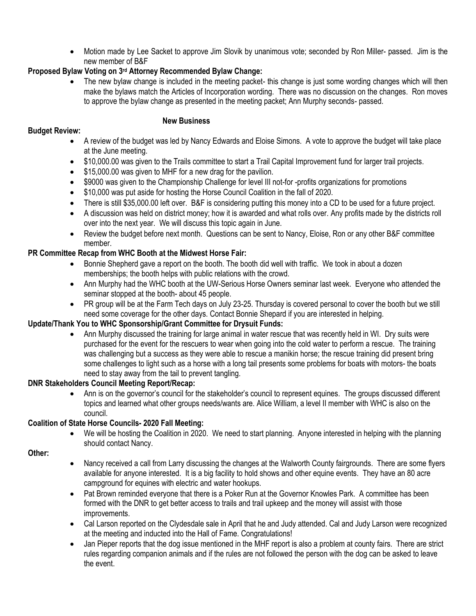Motion made by Lee Sacket to approve Jim Slovik by unanimous vote; seconded by Ron Miller- passed. Jim is the new member of B&F

# **Proposed Bylaw Voting on 3rd Attorney Recommended Bylaw Change:**

 The new bylaw change is included in the meeting packet- this change is just some wording changes which will then make the bylaws match the Articles of Incorporation wording. There was no discussion on the changes. Ron moves to approve the bylaw change as presented in the meeting packet; Ann Murphy seconds- passed.

#### **New Business**

### **Budget Review:**

- A review of the budget was led by Nancy Edwards and Eloise Simons. A vote to approve the budget will take place at the June meeting.
- \$10,000.00 was given to the Trails committee to start a Trail Capital Improvement fund for larger trail projects.
- \$15,000.00 was given to MHF for a new drag for the pavilion.
- \$9000 was given to the Championship Challenge for level III not-for -profits organizations for promotions
- \$10,000 was put aside for hosting the Horse Council Coalition in the fall of 2020.
- There is still \$35,000.00 left over. B&F is considering putting this money into a CD to be used for a future project.
- A discussion was held on district money; how it is awarded and what rolls over. Any profits made by the districts roll over into the next year. We will discuss this topic again in June.
- Review the budget before next month. Questions can be sent to Nancy, Eloise, Ron or any other B&F committee member.

# **PR Committee Recap from WHC Booth at the Midwest Horse Fair:**

- Bonnie Shepherd gave a report on the booth. The booth did well with traffic. We took in about a dozen memberships; the booth helps with public relations with the crowd.
- Ann Murphy had the WHC booth at the UW-Serious Horse Owners seminar last week. Everyone who attended the seminar stopped at the booth- about 45 people.
- PR group will be at the Farm Tech days on July 23-25. Thursday is covered personal to cover the booth but we still need some coverage for the other days. Contact Bonnie Shepard if you are interested in helping.

# **Update/Thank You to WHC Sponsorship/Grant Committee for Drysuit Funds:**

 Ann Murphy discussed the training for large animal in water rescue that was recently held in WI. Dry suits were purchased for the event for the rescuers to wear when going into the cold water to perform a rescue. The training was challenging but a success as they were able to rescue a manikin horse; the rescue training did present bring some challenges to light such as a horse with a long tail presents some problems for boats with motors- the boats need to stay away from the tail to prevent tangling.

# **DNR Stakeholders Council Meeting Report/Recap:**

 Ann is on the governor's council for the stakeholder's council to represent equines. The groups discussed different topics and learned what other groups needs/wants are. Alice William, a level II member with WHC is also on the council.

# **Coalition of State Horse Councils- 2020 Fall Meeting:**

 We will be hosting the Coalition in 2020. We need to start planning. Anyone interested in helping with the planning should contact Nancy.

# **Other:**

- Nancy received a call from Larry discussing the changes at the Walworth County fairgrounds. There are some flyers available for anyone interested. It is a big facility to hold shows and other equine events. They have an 80 acre campground for equines with electric and water hookups.
- Pat Brown reminded everyone that there is a Poker Run at the Governor Knowles Park. A committee has been formed with the DNR to get better access to trails and trail upkeep and the money will assist with those improvements.
- Cal Larson reported on the Clydesdale sale in April that he and Judy attended. Cal and Judy Larson were recognized at the meeting and inducted into the Hall of Fame. Congratulations!
- Jan Pieper reports that the dog issue mentioned in the MHF report is also a problem at county fairs. There are strict rules regarding companion animals and if the rules are not followed the person with the dog can be asked to leave the event.